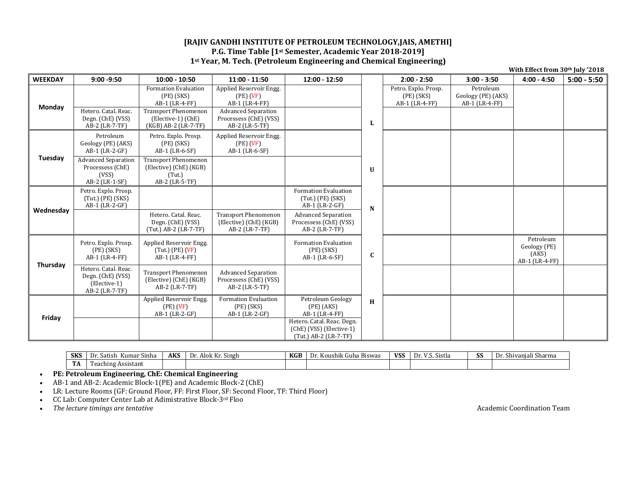## **[RAJIV GANDHI INSTITUTE OF PETROLEUM TECHNOLOGY,JAIS, AMETHI] P.G. Time Table [1st Semester, Academic Year 2018‐2019] 1st Year, M. Tech. (Petroleum Engineering and Chemical Engineering)**

| With Effect from 30th July '2018 |                                                                             |                                                                                                                                              |                                                                                                                                      |                                                                                     |              |                                                        |                                                   |                                                      |               |
|----------------------------------|-----------------------------------------------------------------------------|----------------------------------------------------------------------------------------------------------------------------------------------|--------------------------------------------------------------------------------------------------------------------------------------|-------------------------------------------------------------------------------------|--------------|--------------------------------------------------------|---------------------------------------------------|------------------------------------------------------|---------------|
| <b>WEEKDAY</b>                   | $9:00 - 9:50$                                                               | $10:00 - 10:50$                                                                                                                              | $11:00 - 11:50$                                                                                                                      | 12:00 - 12:50                                                                       |              | $2:00 - 2:50$                                          | $3:00 - 3:50$                                     | $4:00 - 4:50$                                        | $5:00 - 5:50$ |
| Monday                           | Hetero. Catal. Reac.<br>Degn. (ChE) (VSS)<br>AB-2 (LR-7-TF)                 | <b>Formation Evaluation</b><br>$(PE)$ $(SKS)$<br>AB-1 (LR-4-FF)<br><b>Transport Phenomenon</b><br>(Elective-1) (ChE)<br>(KGB) AB-2 (LR-7-TF) | Applied Reservoir Engg.<br>$(PE)$ $(VF)$<br>AB-1 (LR-4-FF)<br><b>Advanced Separation</b><br>Processess (ChE) (VSS)<br>AB-2 (LR-5-TF) |                                                                                     | L            | Petro. Explo. Prosp.<br>$(PE)$ (SKS)<br>AB-1 (LR-4-FF) | Petroleum<br>Geology (PE) (AKS)<br>AB-1 (LR-4-FF) |                                                      |               |
| Tuesday                          | Petroleum<br>Geology (PE) (AKS)<br>AB-1 (LR-2-GF)                           | Petro. Explo. Prosp.<br>$(PE)$ $(SKS)$<br>AB-1 (LR-6-SF)                                                                                     | Applied Reservoir Engg.<br>$(PE)$ $(VF)$<br>AB-1 (LR-6-SF)                                                                           |                                                                                     |              |                                                        |                                                   |                                                      |               |
|                                  | <b>Advanced Separation</b><br>Processess (ChE)<br>(VSS)<br>AB-2 (LR-1-SF)   | <b>Transport Phenomenon</b><br>(Elective) (ChE) (KGB)<br>(Tut.)<br>AB-2 (LR-5-TF)                                                            |                                                                                                                                      |                                                                                     | U            |                                                        |                                                   |                                                      |               |
| Wednesday                        | Petro. Explo. Prosp.<br>$(Tut.)$ (PE) $(SKS)$<br>AB-1 (LR-2-GF)             |                                                                                                                                              |                                                                                                                                      | Formation Evaluation<br>$(Tut.)$ (PE) $(SKS)$<br>AB-1 (LR-2-GF)                     | N            |                                                        |                                                   |                                                      |               |
|                                  |                                                                             | Hetero, Catal, Reac.<br>Degn. (ChE) (VSS)<br>(Tut.) AB-2 (LR-7-TF)                                                                           | <b>Transport Phenomenon</b><br>(Elective) (ChE) (KGB)<br>AB-2 (LR-7-TF)                                                              | <b>Advanced Separation</b><br>Processess (ChE) (VSS)<br>AB-2 (LR-7-TF)              |              |                                                        |                                                   |                                                      |               |
| Thursday                         | Petro. Explo. Prosp.<br>$(PE)$ $(SKS)$<br>AB-1 (LR-4-FF)                    | Applied Reservoir Engg.<br>$(Tut.)$ (PE) $(VF)$<br>AB-1 (LR-4-FF)                                                                            |                                                                                                                                      | <b>Formation Evaluation</b><br>$(PE)$ $(SKS)$<br>AB-1 (LR-6-SF)                     | $\mathbf{C}$ |                                                        |                                                   | Petroleum<br>Geology (PE)<br>(AKS)<br>AB-1 (LR-4-FF) |               |
|                                  | Hetero. Catal. Reac.<br>Degn. (ChE) (VSS)<br>(Elective-1)<br>AB-2 (LR-7-TF) | <b>Transport Phenomenon</b><br>(Elective) (ChE) (KGB)<br>AB-2 (LR-7-TF)                                                                      | <b>Advanced Separation</b><br>Processess (ChE) (VSS)<br>AB-2 (LR-5-TF)                                                               |                                                                                     |              |                                                        |                                                   |                                                      |               |
| Friday                           |                                                                             | Applied Reservoir Engg.<br>(PE) (VF)<br>AB-1 (LR-2-GF)                                                                                       | Formation Evaluation<br>$(PE)$ $(SKS)$<br>AB-1 (LR-2-GF)                                                                             | Petroleum Geology<br>$(PE)$ $(AKS)$<br>AB-1 (LR-4-FF)<br>Hetero. Catal. Reac. Degn. | H            |                                                        |                                                   |                                                      |               |
|                                  |                                                                             |                                                                                                                                              |                                                                                                                                      | (ChE) (VSS) (Elective-1)<br>(Tut.) AB-2 (LR-7-TF)                                   |              |                                                        |                                                   |                                                      |               |

| <b>SKS</b>   | . Satish<br>Sinha<br>Kuma:<br>IJ | <b>AKS</b> | $\mathbf{r}$<br>$\sim$<br>Dr<br>. Singh<br>Alok Kr. | KGB | $\overline{\phantom{a}}$<br>$-$<br>ushik Guha Biswas<br>ιJr<br>17.O | <b>VICC</b><br>V J. | $\cdot$ $\cdot$<br>$\sim$<br>Sistla<br>$\mathbf{v}$ | ບບ | $\sim$<br>$\sim$<br>Sharma<br>.<br>Shiyaniali |
|--------------|----------------------------------|------------|-----------------------------------------------------|-----|---------------------------------------------------------------------|---------------------|-----------------------------------------------------|----|-----------------------------------------------|
| $\sim$<br>ľА | $\sim$<br>Assistant<br>'eaching  |            |                                                     |     |                                                                     |                     |                                                     |    |                                               |

 $\bullet$ **PE: Petroleum Engineering, ChE: Chemical Engineering**

 $\bullet$ AB-1 and AB-2: Academic Block-1(PE) and Academic Block-2 (ChE)

 $\bullet$ LR: Lecture Rooms (GF: Ground Floor, FF: First Floor, SF: Second Floor, TF: Third Floor)

 $\bullet$ CC Lab: Computer Center Lab at Adimistrative Block-3rd Floo

 $\bullet$ *The* lecture timings are tentative and the *lecture function Team* Academic Coordination Team